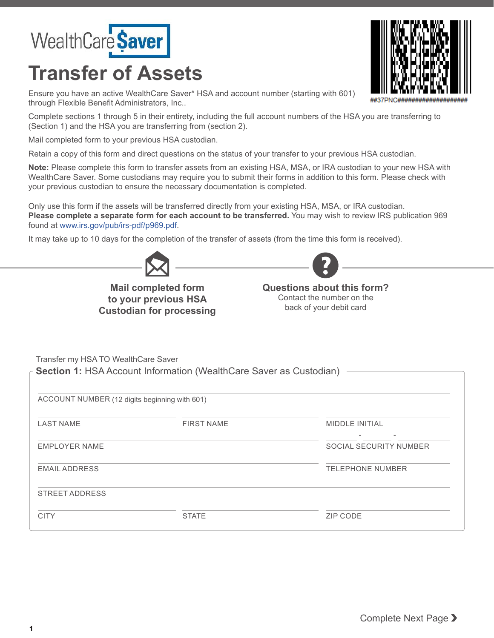## **Transfer of Assets**

Ensure you have an active WealthCare Saver\* HSA and account number (starting with 601) through Flexible Benefit Administrators, Inc..

Complete sections 1 through 5 in their entirety, including the full account numbers of the HSA you are transferring to (Section 1) and the HSA you are transferring from (section 2).

Mail completed form to your previous HSA custodian.

Retain a copy of this form and direct questions on the status of your transfer to your previous HSA custodian.

**Note:** Please complete this form to transfer assets from an existing HSA, MSA, or IRA custodian to your new HSA with WealthCare Saver. Some custodians may require you to submit their forms in addition to this form. Please check with your previous custodian to ensure the necessary documentation is completed.

Only use this form if the assets will be transferred directly from your existing HSA, MSA, or IRA custodian. **Please complete a separate form for each account to be transferred.** You may wish to review IRS publication 969 found at www.irs.gov/pub/irs-pdf/p969.pdf.

It may take up to 10 days for the completion of the transfer of assets (from the time this form is received).

**Mail completed form to your previous HSA Custodian for processing**

Contact the number on the back of your debit card **Questions about this form?**

| ACCOUNT NUMBER (12 digits beginning with 601) |                   |                         |
|-----------------------------------------------|-------------------|-------------------------|
| <b>LAST NAME</b>                              | <b>FIRST NAME</b> | <b>MIDDLE INITIAL</b>   |
| <b>EMPLOYER NAME</b>                          |                   | SOCIAL SECURITY NUMBER  |
| <b>EMAIL ADDRESS</b>                          |                   | <b>TELEPHONE NUMBER</b> |
| <b>STREET ADDRESS</b>                         |                   |                         |
| <b>CITY</b>                                   | <b>STATE</b>      | <b>ZIP CODE</b>         |







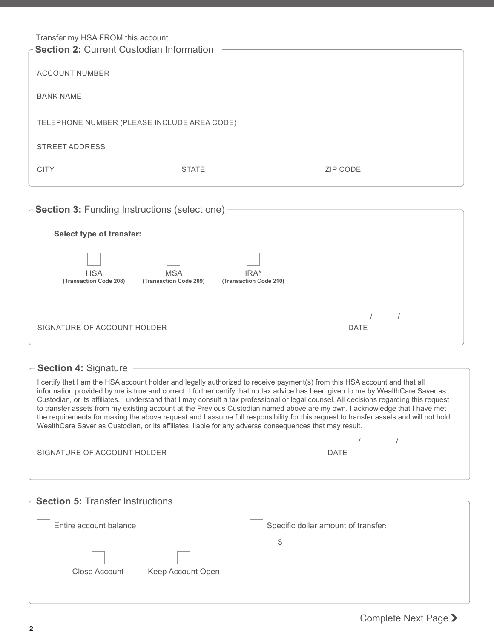## Transfer my HSA FROM this account

| <b>Section 2: Current Custodian Information</b> |          |  |  |  |
|-------------------------------------------------|----------|--|--|--|
|                                                 |          |  |  |  |
|                                                 |          |  |  |  |
| TELEPHONE NUMBER (PLEASE INCLUDE AREA CODE)     |          |  |  |  |
|                                                 |          |  |  |  |
| <b>STATE</b>                                    | ZIP CODE |  |  |  |
|                                                 |          |  |  |  |

| <b>Section 3: Funding Instructions (select one)</b> |                                      |                                |             |  |
|-----------------------------------------------------|--------------------------------------|--------------------------------|-------------|--|
| <b>Select type of transfer:</b>                     |                                      |                                |             |  |
|                                                     |                                      |                                |             |  |
| <b>HSA</b><br>(Transaction Code 208)                | <b>MSA</b><br>(Transaction Code 209) | IRA*<br>(Transaction Code 210) |             |  |
|                                                     |                                      |                                |             |  |
| SIGNATURE OF ACCOUNT HOLDER                         |                                      |                                | <b>DATE</b> |  |

## **Section 4:** Signature

I certify that I am the HSA account holder and legally authorized to receive payment(s) from this HSA account and that all information provided by me is true and correct. I further certify that no tax advice has been given to me by WealthCare Saver as Custodian, or its affiliates. I understand that I may consult a tax professional or legal counsel. All decisions regarding this request to transfer assets from my existing account at the Previous Custodian named above are my own. I acknowledge that I have met the requirements for making the above request and I assume full responsibility for this request to transfer assets and will not hold WealthCare Saver as Custodian, or its affiliates, liable for any adverse consequences that may result.

| SIGNATURE OF ACCOUNT HOLDER | <b>DATE</b> |
|-----------------------------|-------------|
|                             |             |
|                             |             |

| $\sim$ Section 5: Transfer Instructions. |                   |                                     |
|------------------------------------------|-------------------|-------------------------------------|
| Entire account balance                   |                   | Specific dollar amount of transfer: |
|                                          |                   | S                                   |
|                                          |                   |                                     |
| Close Account                            | Keep Account Open |                                     |
|                                          |                   |                                     |
|                                          |                   |                                     |